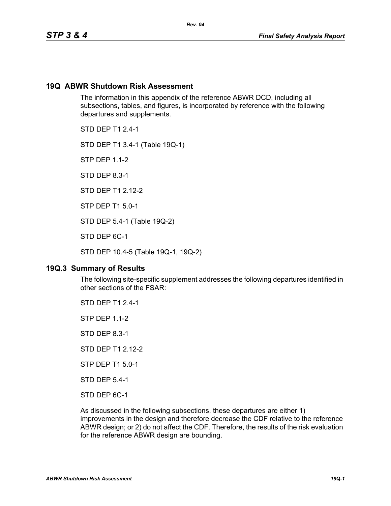## **19Q ABWR Shutdown Risk Assessment**

The information in this appendix of the reference ABWR DCD, including all subsections, tables, and figures, is incorporated by reference with the following departures and supplements.

STD DEP T1 2.4-1

STD DEP T1 3.4-1 (Table 19Q-1)

STP DEP 1.1-2

STD DEP 8.3-1

STD DEP T1 2.12-2

STP DEP T1 5.0-1

STD DEP 5.4-1 (Table 19Q-2)

STD DEP 6C-1

STD DEP 10.4-5 (Table 19Q-1, 19Q-2)

## **19Q.3 Summary of Results**

The following site-specific supplement addresses the following departures identified in other sections of the FSAR:

STD DEP T1 2.4-1 STP DEP 1.1-2 STD DEP 8.3-1 STD DEP T1 2.12-2 STP DEP T1 5.0-1 STD DEP 5.4-1 STD DEP 6C-1

As discussed in the following subsections, these departures are either 1) improvements in the design and therefore decrease the CDF relative to the reference ABWR design; or 2) do not affect the CDF. Therefore, the results of the risk evaluation for the reference ABWR design are bounding.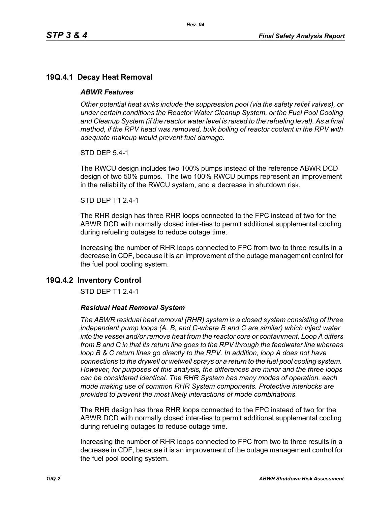# **19Q.4.1 Decay Heat Removal**

## *ABWR Features*

*Other potential heat sinks include the suppression pool (via the safety relief valves), or under certain conditions the Reactor Water Cleanup System, or the Fuel Pool Cooling*  and Cleanup System (if the reactor water level is raised to the refueling level). As a final *method, if the RPV head was removed, bulk boiling of reactor coolant in the RPV with adequate makeup would prevent fuel damage.*

STD DEP 5.4-1

The RWCU design includes two 100% pumps instead of the reference ABWR DCD design of two 50% pumps. The two 100% RWCU pumps represent an improvement in the reliability of the RWCU system, and a decrease in shutdown risk.

#### STD DEP T1 2.4-1

The RHR design has three RHR loops connected to the FPC instead of two for the ABWR DCD with normally closed inter-ties to permit additional supplemental cooling during refueling outages to reduce outage time.

Increasing the number of RHR loops connected to FPC from two to three results in a decrease in CDF, because it is an improvement of the outage management control for the fuel pool cooling system.

## **19Q.4.2 Inventory Control**

STD DEP T1 2.4-1

## *Residual Heat Removal System*

*The ABWR residual heat removal (RHR) system is a closed system consisting of three independent pump loops (A, B, and C-where B and C are similar) which inject water into the vessel and/or remove heat from the reactor core or containment. Loop A differs from B and C in that its return line goes to the RPV through the feedwater line whereas loop B & C return lines go directly to the RPV. In addition, loop A does not have connections to the drywell or wetwell sprays or a return to the fuel pool cooling system. However, for purposes of this analysis, the differences are minor and the three loops can be considered identical. The RHR System has many modes of operation, each mode making use of common RHR System components. Protective interlocks are provided to prevent the most likely interactions of mode combinations.*

The RHR design has three RHR loops connected to the FPC instead of two for the ABWR DCD with normally closed inter-ties to permit additional supplemental cooling during refueling outages to reduce outage time.

Increasing the number of RHR loops connected to FPC from two to three results in a decrease in CDF, because it is an improvement of the outage management control for the fuel pool cooling system.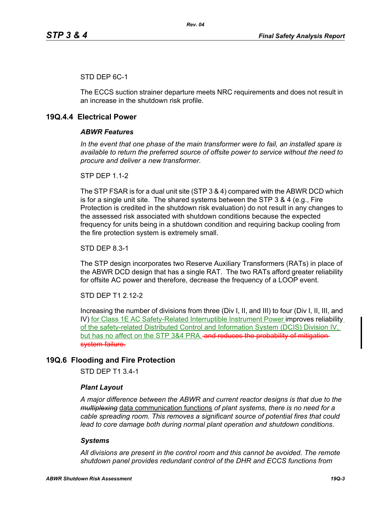## STD DEP 6C-1

The ECCS suction strainer departure meets NRC requirements and does not result in an increase in the shutdown risk profile.

## **19Q.4.4 Electrical Power**

## *ABWR Features*

*In the event that one phase of the main transformer were to fail, an installed spare is available to return the preferred source of offsite power to service without the need to procure and deliver a new transformer.*

**STP DFP 1 1-2** 

The STP FSAR is for a dual unit site (STP 3 & 4) compared with the ABWR DCD which is for a single unit site. The shared systems between the STP 3 & 4 (e.g., Fire Protection is credited in the shutdown risk evaluation) do not result in any changes to the assessed risk associated with shutdown conditions because the expected frequency for units being in a shutdown condition and requiring backup cooling from the fire protection system is extremely small.

STD DEP 8.3-1

The STP design incorporates two Reserve Auxiliary Transformers (RATs) in place of the ABWR DCD design that has a single RAT. The two RATs afford greater reliability for offsite AC power and therefore, decrease the frequency of a LOOP event.

STD DEP T1 2.12-2

Increasing the number of divisions from three (Div I, II, and III) to four (Div I, II, III, and IV) for Class 1E AC Safety-Related Interruptible Instrument Power improves reliability of the safety-related Distributed Control and Information System (DCIS) Division IV, but has no affect on the STP 3&4 PRA. and reduces the probability of mitigationsystem failure.

# **19Q.6 Flooding and Fire Protection**

STD DEP T1 3.4-1

#### *Plant Layout*

*A major difference between the ABWR and current reactor designs is that due to the multiplexing* data communication functions *of plant systems, there is no need for a cable spreading room. This removes a significant source of potential fires that could lead to core damage both during normal plant operation and shutdown conditions.*

#### *Systems*

*All divisions are present in the control room and this cannot be avoided. The remote shutdown panel provides redundant control of the DHR and ECCS functions from*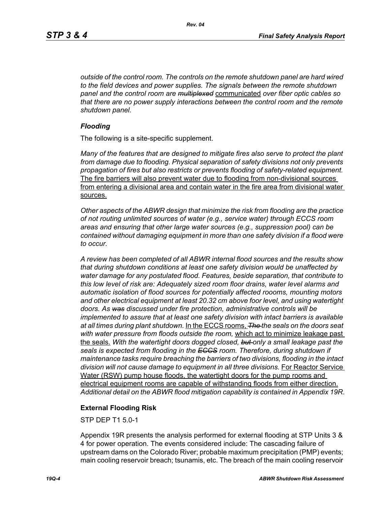*outside of the control room. The controls on the remote shutdown panel are hard wired to the field devices and power supplies. The signals between the remote shutdown panel and the control room are multiplexed* communicated *over fiber optic cables so that there are no power supply interactions between the control room and the remote shutdown panel.*

## *Flooding*

The following is a site-specific supplement.

*Many of the features that are designed to mitigate fires also serve to protect the plant from damage due to flooding. Physical separation of safety divisions not only prevents propagation of fires but also restricts or prevents flooding of safety-related equipment.*  The fire barriers will also prevent water due to flooding from non-divisional sources from entering a divisional area and contain water in the fire area from divisional water sources.

*Other aspects of the ABWR design that minimize the risk from flooding are the practice of not routing unlimited sources of water (e.g., service water) through ECCS room areas and ensuring that other large water sources (e.g., suppression pool) can be contained without damaging equipment in more than one safety division if a flood were to occur.*

*A review has been completed of all ABWR internal flood sources and the results show that during shutdown conditions at least one safety division would be unaffected by water damage for any postulated flood. Features, beside separation, that contribute to this low level of risk are: Adequately sized room floor drains, water level alarms and automatic isolation of flood sources for potentially affected roooms, mounting motors and other electrical equipment at least 20.32 cm above foor level, and using watertight doors. As was discussed under fire protection, administrative controls will be implemented to assure that at least one safety division with intact barriers is available at all times during plant shutdown.* In the ECCS rooms, *The the seals on the doors seat with water pressure from floods outside the room,* which act to minimize leakage past the seals. *With the watertight doors dogged closed, but only a small leakage past the seals is expected from flooding in the ECCS room. Therefore, during shutdown if maintenance tasks require breaching the barriers of two divisions, flooding in the intact division will not cause damage to equipment in all three divisions.* For Reactor Service Water (RSW) pump house floods, the watertight doors for the pump rooms and electrical equipment rooms are capable of withstanding floods from either direction. *Additional detail on the ABWR flood mitigation capability is contained in Appendix 19R*.

## **External Flooding Risk**

STP DEP T1 5.0-1

Appendix 19R presents the analysis performed for external flooding at STP Units 3 & 4 for power operation. The events considered include: The cascading failure of upstream dams on the Colorado River; probable maximum precipitation (PMP) events; main cooling reservoir breach; tsunamis, etc. The breach of the main cooling reservoir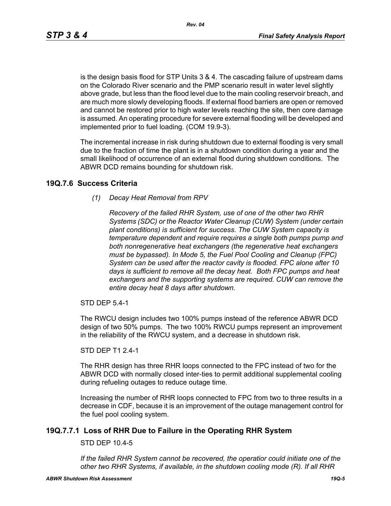*Rev. 04*

is the design basis flood for STP Units 3 & 4. The cascading failure of upstream dams on the Colorado River scenario and the PMP scenario result in water level slightly above grade, but less than the flood level due to the main cooling reservoir breach, and are much more slowly developing floods. If external flood barriers are open or removed and cannot be restored prior to high water levels reaching the site, then core damage is assumed. An operating procedure for severe external flooding will be developed and implemented prior to fuel loading. (COM 19.9-3).

The incremental increase in risk during shutdown due to external flooding is very small due to the fraction of time the plant is in a shutdown condition during a year and the small likelihood of occurrence of an external flood during shutdown conditions. The ABWR DCD remains bounding for shutdown risk.

## **19Q.7.6 Success Criteria**

## *(1) Decay Heat Removal from RPV*

*Recovery of the failed RHR System, use of one of the other two RHR Systems (SDC) or the Reactor Water Cleanup (CUW) System (under certain plant conditions) is sufficient for success. The CUW System capacity is temperature dependent and require requires a single both pumps pump and both nonregenerative heat exchangers (the regenerative heat exchangers must be bypassed). In Mode 5, the Fuel Pool Cooling and Cleanup (FPC) System can be used after the reactor cavity is flooded. FPC alone after 10 days is sufficient to remove all the decay heat. Both FPC pumps and heat exchangers and the supporting systems are required. CUW can remove the entire decay heat 8 days after shutdown.*

STD DEP 5.4-1

The RWCU design includes two 100% pumps instead of the reference ABWR DCD design of two 50% pumps. The two 100% RWCU pumps represent an improvement in the reliability of the RWCU system, and a decrease in shutdown risk.

STD DEP T1 2.4-1

The RHR design has three RHR loops connected to the FPC instead of two for the ABWR DCD with normally closed inter-ties to permit additional supplemental cooling during refueling outages to reduce outage time.

Increasing the number of RHR loops connected to FPC from two to three results in a decrease in CDF, because it is an improvement of the outage management control for the fuel pool cooling system.

## **19Q.7.7.1 Loss of RHR Due to Failure in the Operating RHR System**

STD DEP 10.4-5

*If the failed RHR System cannot be recovered, the operatior could initiate one of the other two RHR Systems, if available, in the shutdown cooling mode (R). If all RHR*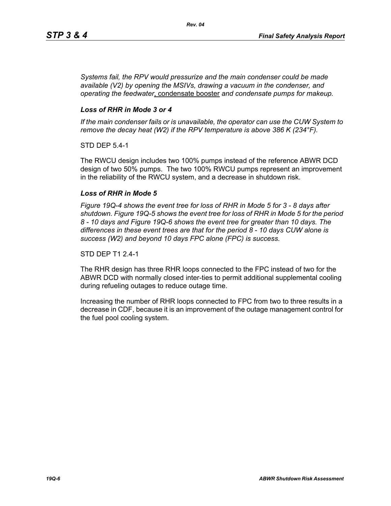*Systems fail, the RPV would pressurize and the main condenser could be made available (V2) by opening the MSIVs, drawing a vacuum in the condenser, and operating the feedwater*, condensate booster *and condensate pumps for makeup.*

## *Loss of RHR in Mode 3 or 4*

*If the main condenser fails or is unavailable, the operator can use the CUW System to remove the decay heat (W2) if the RPV temperature is above 386 K (234°F).*

STD DEP 5.4-1

The RWCU design includes two 100% pumps instead of the reference ABWR DCD design of two 50% pumps. The two 100% RWCU pumps represent an improvement in the reliability of the RWCU system, and a decrease in shutdown risk.

#### *Loss of RHR in Mode 5*

*Figure 19Q-4 shows the event tree for loss of RHR in Mode 5 for 3 - 8 days after shutdown. Figure 19Q-5 shows the event tree for loss of RHR in Mode 5 for the period 8 - 10 days and Figure 19Q-6 shows the event tree for greater than 10 days. The differences in these event trees are that for the period 8 - 10 days CUW alone is success (W2) and beyond 10 days FPC alone (FPC) is success.*

STD DEP T1 2.4-1

The RHR design has three RHR loops connected to the FPC instead of two for the ABWR DCD with normally closed inter-ties to permit additional supplemental cooling during refueling outages to reduce outage time.

Increasing the number of RHR loops connected to FPC from two to three results in a decrease in CDF, because it is an improvement of the outage management control for the fuel pool cooling system.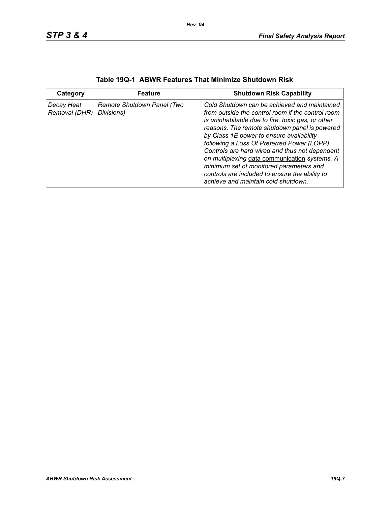| Category                    | <b>Feature</b>                           | <b>Shutdown Risk Capability</b>                                                                                                                                                                                                                                                                                                                                                                                                                                                                                                           |
|-----------------------------|------------------------------------------|-------------------------------------------------------------------------------------------------------------------------------------------------------------------------------------------------------------------------------------------------------------------------------------------------------------------------------------------------------------------------------------------------------------------------------------------------------------------------------------------------------------------------------------------|
| Decay Heat<br>Removal (DHR) | Remote Shutdown Panel (Two<br>Divisions) | Cold Shutdown can be achieved and maintained<br>from outside the control room if the control room<br>is uninhabitable due to fire, toxic gas, or other<br>reasons. The remote shutdown panel is powered<br>by Class 1E power to ensure availability<br>following a Loss Of Preferred Power (LOPP).<br>Controls are hard wired and thus not dependent<br>on multiplexing data communication systems. A<br>minimum set of monitored parameters and<br>controls are included to ensure the ability to<br>achieve and maintain cold shutdown. |

| Table 19Q-1 ABWR Features That Minimize Shutdown Risk |  |  |  |  |  |  |  |
|-------------------------------------------------------|--|--|--|--|--|--|--|
|-------------------------------------------------------|--|--|--|--|--|--|--|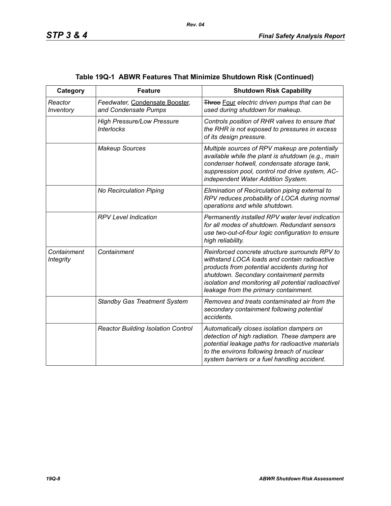| Category                        | <b>Feature</b>                                         | <b>Shutdown Risk Capability</b>                                                                                                                                                                                                                                                           |
|---------------------------------|--------------------------------------------------------|-------------------------------------------------------------------------------------------------------------------------------------------------------------------------------------------------------------------------------------------------------------------------------------------|
| Reactor<br>Inventory            | Feedwater, Condensate Booster,<br>and Condensate Pumps | Three Four electric driven pumps that can be<br>used during shutdown for makeup.                                                                                                                                                                                                          |
|                                 | <b>High Pressure/Low Pressure</b><br><b>Interlocks</b> | Controls position of RHR valves to ensure that<br>the RHR is not exposed to pressures in excess<br>of its design pressure.                                                                                                                                                                |
|                                 | <b>Makeup Sources</b>                                  | Multiple sources of RPV makeup are potentially<br>available while the plant is shutdown (e.g., main<br>condenser hotwell, condensate storage tank,<br>suppression pool, control rod drive system, AC-<br>independent Water Addition System.                                               |
|                                 | No Recirculation Piping                                | Elimination of Recirculation piping external to<br>RPV reduces probability of LOCA during normal<br>operations and while shutdown.                                                                                                                                                        |
|                                 | <b>RPV Level Indication</b>                            | Permanently installed RPV water level indication<br>for all modes of shutdown. Redundant sensors<br>use two-out-of-four logic configuration to ensure<br>high reliability.                                                                                                                |
| Containment<br><b>Integrity</b> | Containment                                            | Reinforced concrete structure surrounds RPV to<br>withstand LOCA loads and contain radioactive<br>products from potential accidents during hot<br>shutdown. Secondary containment permits<br>isolation and monitoring all potential radioactivel<br>leakage from the primary containment. |
|                                 | <b>Standby Gas Treatment System</b>                    | Removes and treats contaminated air from the<br>secondary containment following potential<br>accidents.                                                                                                                                                                                   |
|                                 | <b>Reactor Building Isolation Control</b>              | Automatically closes isolation dampers on<br>detection of high radiation. These dampers are<br>potential leakage paths for radioactive materials<br>to the environs following breach of nuclear<br>system barriers or a fuel handling accident.                                           |

# **Table 19Q-1 ABWR Features That Minimize Shutdown Risk (Continued)**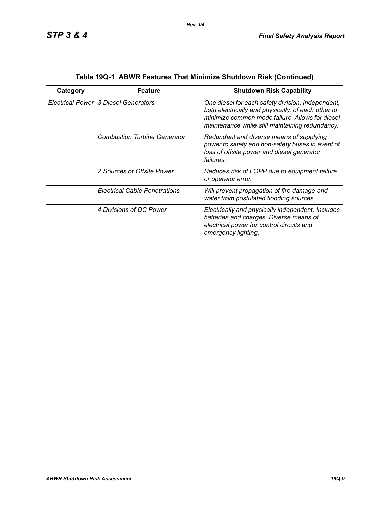| Category | Feature                              | <b>Shutdown Risk Capability</b>                                                                                                                                                                               |
|----------|--------------------------------------|---------------------------------------------------------------------------------------------------------------------------------------------------------------------------------------------------------------|
|          | Electrical Power 3 Diesel Generators | One diesel for each safety division. Independent,<br>both electrically and physically, of each other to<br>minimize common mode failure. Allows for diesel<br>maintenance while still maintaining redundancy. |
|          | <b>Combustion Turbine Generator</b>  | Redundant and diverse means of supplying<br>power to safety and non-safety buses in event of<br>loss of offsite power and diesel generator<br>failures.                                                       |
|          | 2 Sources of Offsite Power           | Reduces risk of LOPP due to equipment failure<br>or operator error.                                                                                                                                           |
|          | <b>Electrical Cable Penetrations</b> | Will prevent propagation of fire damage and<br>water from postulated flooding sources.                                                                                                                        |
|          | 4 Divisions of DC Power              | Electrically and physically independent. Includes<br>batteries and charges. Diverse means of<br>electrical power for control circuits and<br>emergency lighting.                                              |

| Table 19Q-1 ABWR Features That Minimize Shutdown Risk (Continued) |  |  |
|-------------------------------------------------------------------|--|--|
|                                                                   |  |  |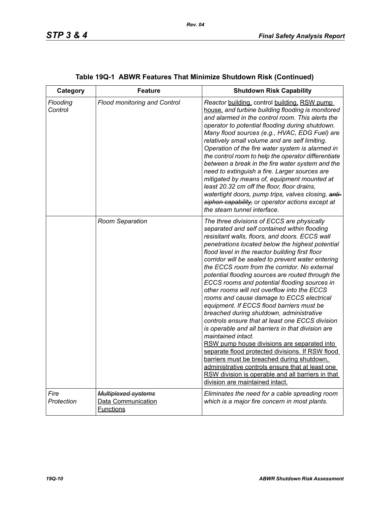| Category            | <b>Feature</b>                                                | <b>Shutdown Risk Capability</b>                                                                                                                                                                                                                                                                                                                                                                                                                                                                                                                                                                                                                                                                                                                                                                                                                                                                                                                                                                                                                                               |
|---------------------|---------------------------------------------------------------|-------------------------------------------------------------------------------------------------------------------------------------------------------------------------------------------------------------------------------------------------------------------------------------------------------------------------------------------------------------------------------------------------------------------------------------------------------------------------------------------------------------------------------------------------------------------------------------------------------------------------------------------------------------------------------------------------------------------------------------------------------------------------------------------------------------------------------------------------------------------------------------------------------------------------------------------------------------------------------------------------------------------------------------------------------------------------------|
| Flooding<br>Control | <b>Flood monitoring and Control</b>                           | Reactor building, control building, RSW pump<br>house, and turbine building flooding is monitored<br>and alarmed in the control room. This alerts the<br>operator to potential flooding during shutdown.<br>Many flood sources (e.g., HVAC, EDG Fuel) are<br>relatively small volume and are self limiting.<br>Operation of the fire water system is alarmed in<br>the control room to help the operator differentiate<br>between a break in the fire water system and the<br>need to extinguish a fire. Larger sources are<br>mitigated by means of, equipment mounted at<br>least 20.32 cm off the floor, floor drains,<br>watertight doors, pump trips, valves closing, anti-<br>siphon capability, or operator actions except at<br>the steam tunnel interface.                                                                                                                                                                                                                                                                                                           |
|                     | Room Separation                                               | The three divisions of ECCS are physically<br>separated and self contained within flooding<br>resisitant walls, floors, and doors. ECCS wall<br>penetrations located below the highest potential<br>flood level in the reactor building first floor<br>corridor will be sealed to prevent water entering<br>the ECCS room from the corridor. No external<br>potential flooding sources are routed through the<br>ECCS rooms and potential flooding sources in<br>other rooms will not overflow into the ECCS<br>rooms and cause damage to ECCS electrical<br>equipment. If ECCS flood barriers must be<br>breached during shutdown, administrative<br>controls ensure that at least one ECCS division<br>is operable and all barriers in that division are<br>maintained intact.<br>RSW pump house divisions are separated into<br>separate flood protected divisions. If RSW flood<br>barriers must be breached during shutdown,<br>administrative controls ensure that at least one<br>RSW division is operable and all barriers in that<br>division are maintained intact. |
| Fire<br>Protection  | Multiplexed systems<br>Data Communication<br><b>Functions</b> | Eliminates the need for a cable spreading room<br>which is a major fire concern in most plants.                                                                                                                                                                                                                                                                                                                                                                                                                                                                                                                                                                                                                                                                                                                                                                                                                                                                                                                                                                               |

# **Table 19Q-1 ABWR Features That Minimize Shutdown Risk (Continued)**

*Rev. 04*